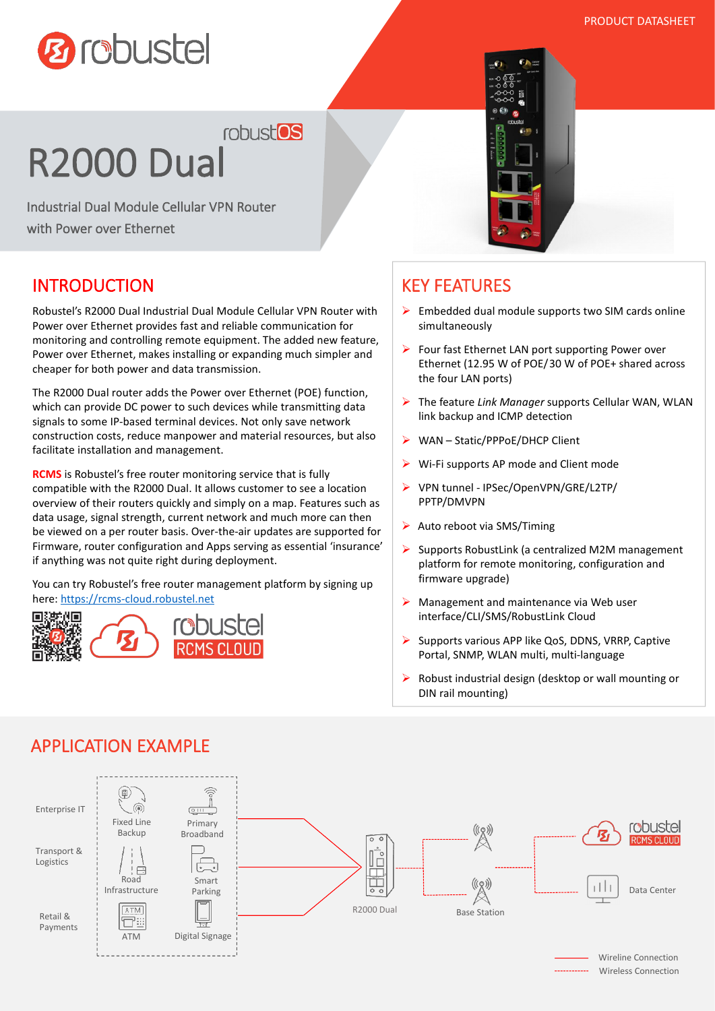

robust<sup>os</sup>

# R2000 Dual

Industrial Dual Module Cellular VPN Router with Power over Ethernet

### INTRODUCTION

Robustel's R2000 Dual Industrial Dual Module Cellular VPN Router with Power over Ethernet provides fast and reliable communication for monitoring and controlling remote equipment. The added new feature, Power over Ethernet, makes installing or expanding much simpler and cheaper for both power and data transmission.

The R2000 Dual router adds the Power over Ethernet (POE) function, which can provide DC power to such devices while transmitting data signals to some IP-based terminal devices. Not only save network construction costs, reduce manpower and material resources, but also facilitate installation and management.

**RCMS** is Robustel's free router monitoring service that is fully compatible with the R2000 Dual. It allows customer to see a location overview of their routers quickly and simply on a map. Features such as data usage, signal strength, current network and much more can then be viewed on a per router basis. Over-the-air updates are supported for Firmware, router configuration and Apps serving as essential 'insurance' if anything was not quite right during deployment.

You can try Robustel's free router management platform by signing up here: <https://rcms-cloud.robustel.net>



## KEY FEATURES

- $\triangleright$  Embedded dual module supports two SIM cards online simultaneously
- $\triangleright$  Four fast Ethernet LAN port supporting Power over Ethernet (12.95 W of POE/30 W of POE+ shared across the four LAN ports)
- The feature *Link Manager* supports Cellular WAN, WLAN link backup and ICMP detection
- ▶ WAN Static/PPPoE/DHCP Client
- Wi-Fi supports AP mode and Client mode
- VPN tunnel IPSec/OpenVPN/GRE/L2TP/ PPTP/DMVPN
- $\triangleright$  Auto reboot via SMS/Timing
- $\triangleright$  Supports RobustLink (a centralized M2M management platform for remote monitoring, configuration and firmware upgrade)
- $\triangleright$  Management and maintenance via Web user interface/CLI/SMS/RobustLink Cloud
- $\triangleright$  Supports various APP like QoS, DDNS, VRRP, Captive Portal, SNMP, WLAN multi, multi-language
- Robust industrial design (desktop or wall mounting or DIN rail mounting)



# APPLICATION EXAMPLE

Wireless Connection